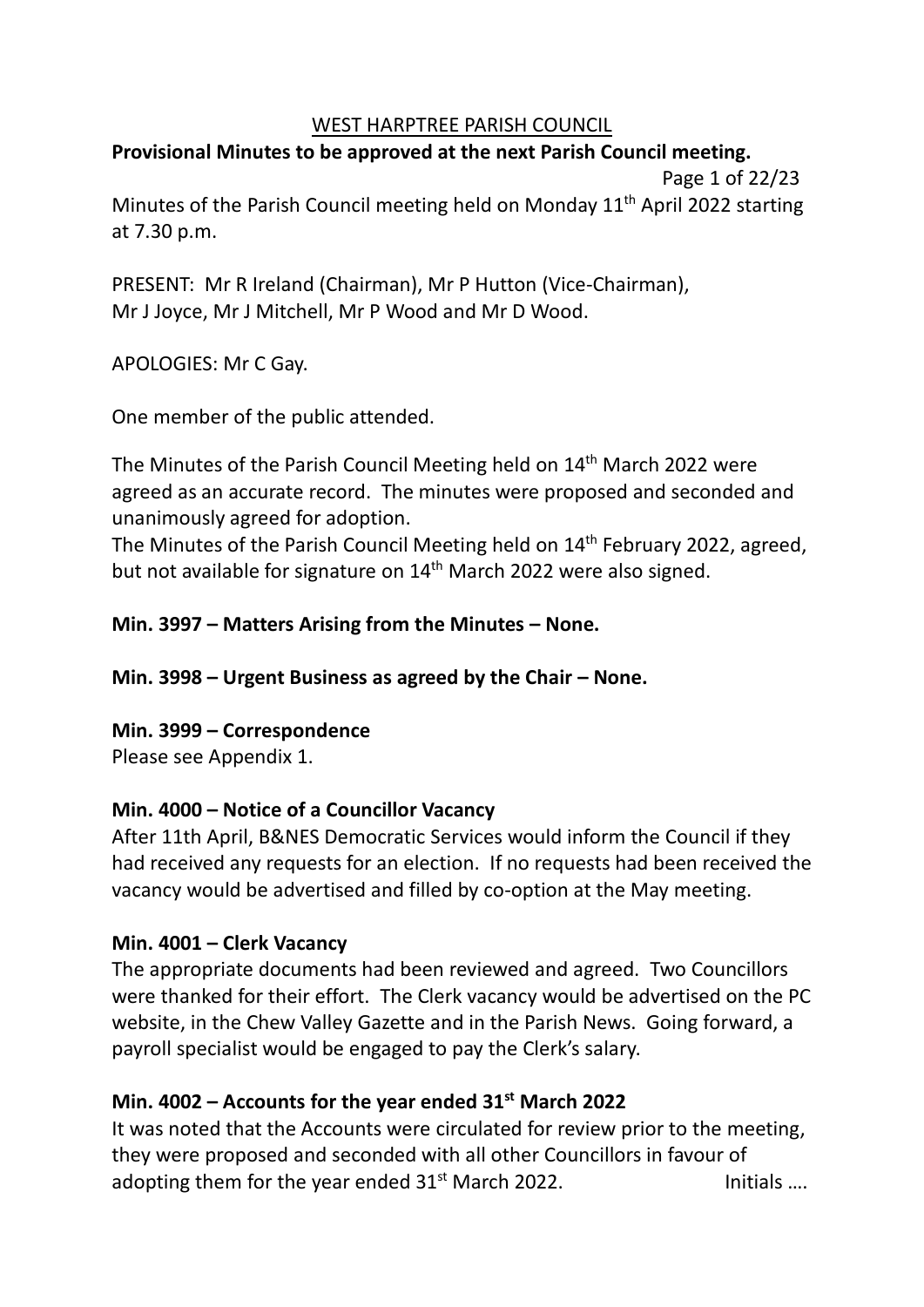### WEST HARPTREE PARISH COUNCIL

# **Provisional Minutes to be approved at the next Parish Council meeting.**

 Page 1 of 22/23 Minutes of the Parish Council meeting held on Monday 11<sup>th</sup> April 2022 starting at 7.30 p.m.

PRESENT: Mr R Ireland (Chairman), Mr P Hutton (Vice-Chairman), Mr J Joyce, Mr J Mitchell, Mr P Wood and Mr D Wood.

APOLOGIES: Mr C Gay.

One member of the public attended.

The Minutes of the Parish Council Meeting held on 14<sup>th</sup> March 2022 were agreed as an accurate record. The minutes were proposed and seconded and unanimously agreed for adoption.

The Minutes of the Parish Council Meeting held on 14<sup>th</sup> February 2022, agreed, but not available for signature on 14<sup>th</sup> March 2022 were also signed.

## **Min. 3997 – Matters Arising from the Minutes – None.**

**Min. 3998 – Urgent Business as agreed by the Chair – None.**

### **Min. 3999 – Correspondence** Please see Appendix 1.

## **Min. 4000 – Notice of a Councillor Vacancy**

After 11th April, B&NES Democratic Services would inform the Council if they had received any requests for an election. If no requests had been received the vacancy would be advertised and filled by co-option at the May meeting.

## **Min. 4001 – Clerk Vacancy**

The appropriate documents had been reviewed and agreed. Two Councillors were thanked for their effort. The Clerk vacancy would be advertised on the PC website, in the Chew Valley Gazette and in the Parish News. Going forward, a payroll specialist would be engaged to pay the Clerk's salary.

## **Min. 4002 – Accounts for the year ended 31st March 2022**

It was noted that the Accounts were circulated for review prior to the meeting, they were proposed and seconded with all other Councillors in favour of adopting them for the year ended  $31<sup>st</sup>$  March 2022. Initials ...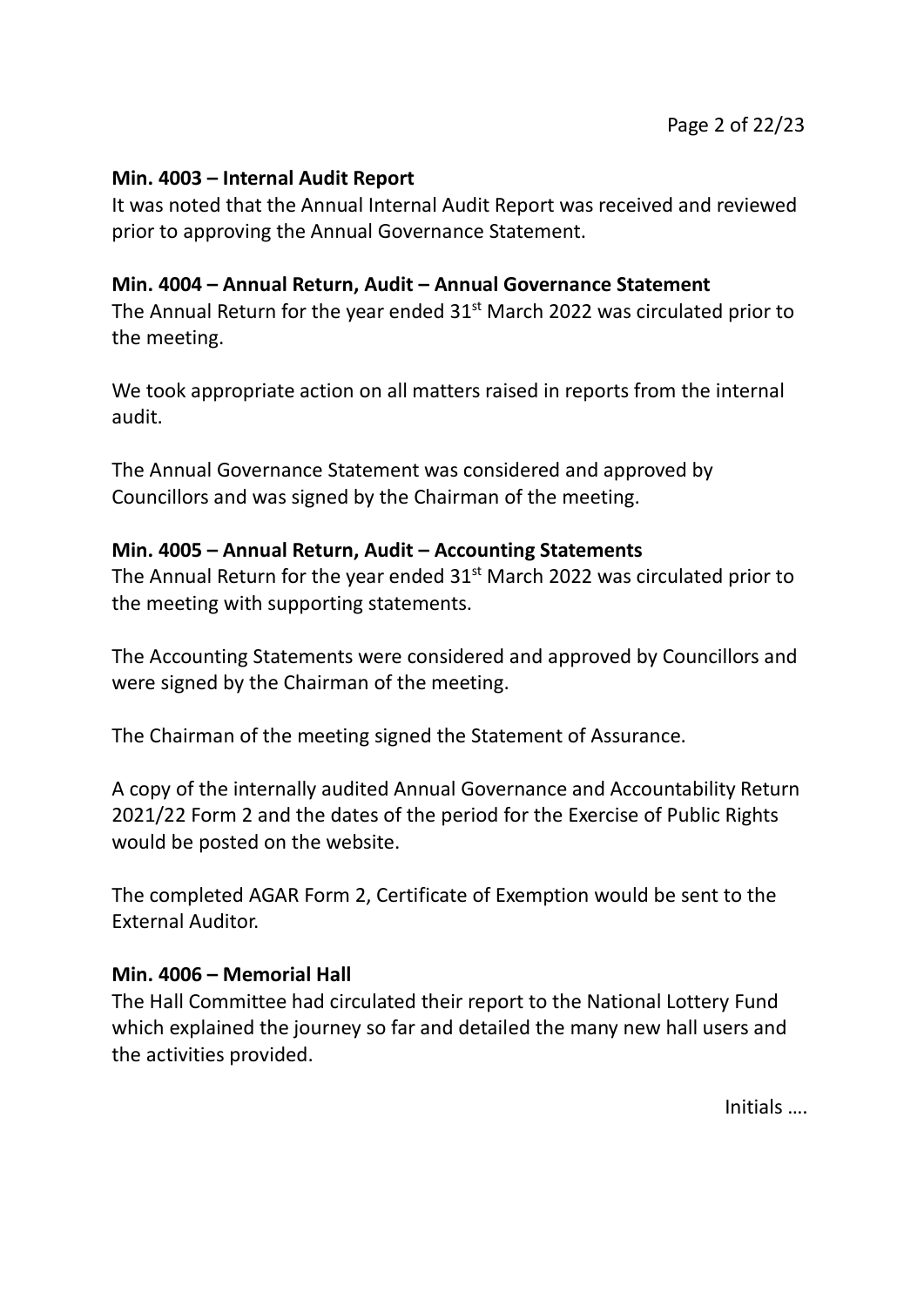### **Min. 4003 – Internal Audit Report**

It was noted that the Annual Internal Audit Report was received and reviewed prior to approving the Annual Governance Statement.

### **Min. 4004 – Annual Return, Audit – Annual Governance Statement**

The Annual Return for the year ended  $31<sup>st</sup>$  March 2022 was circulated prior to the meeting.

We took appropriate action on all matters raised in reports from the internal audit.

The Annual Governance Statement was considered and approved by Councillors and was signed by the Chairman of the meeting.

### **Min. 4005 – Annual Return, Audit – Accounting Statements**

The Annual Return for the year ended  $31<sup>st</sup>$  March 2022 was circulated prior to the meeting with supporting statements.

The Accounting Statements were considered and approved by Councillors and were signed by the Chairman of the meeting.

The Chairman of the meeting signed the Statement of Assurance.

A copy of the internally audited Annual Governance and Accountability Return 2021/22 Form 2 and the dates of the period for the Exercise of Public Rights would be posted on the website.

The completed AGAR Form 2, Certificate of Exemption would be sent to the External Auditor.

### **Min. 4006 – Memorial Hall**

The Hall Committee had circulated their report to the National Lottery Fund which explained the journey so far and detailed the many new hall users and the activities provided.

Initials ….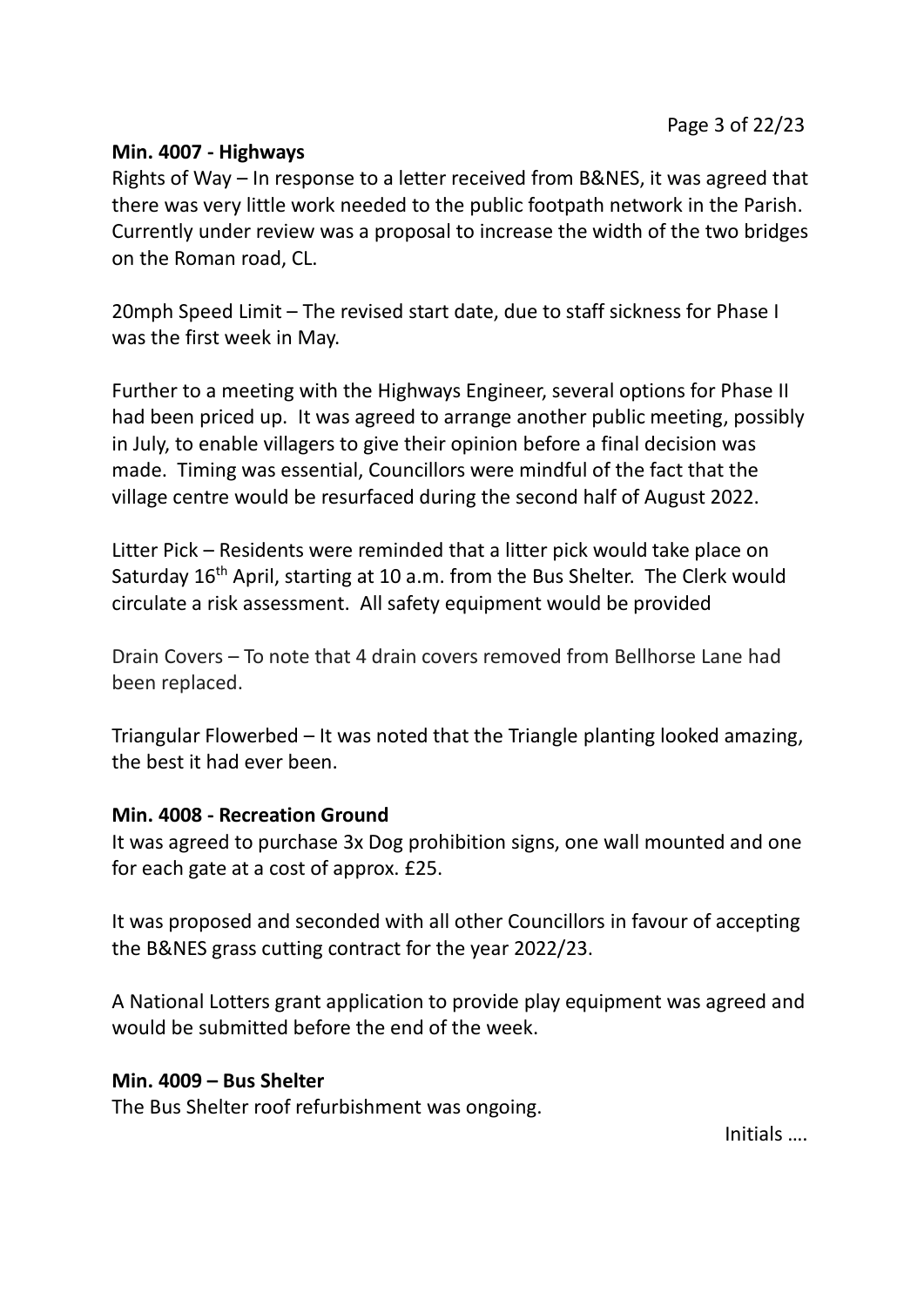### **Min. 4007 - Highways**

Rights of Way – In response to a letter received from B&NES, it was agreed that there was very little work needed to the public footpath network in the Parish. Currently under review was a proposal to increase the width of the two bridges on the Roman road, CL.

20mph Speed Limit – The revised start date, due to staff sickness for Phase I was the first week in May.

Further to a meeting with the Highways Engineer, several options for Phase II had been priced up. It was agreed to arrange another public meeting, possibly in July, to enable villagers to give their opinion before a final decision was made. Timing was essential, Councillors were mindful of the fact that the village centre would be resurfaced during the second half of August 2022.

Litter Pick – Residents were reminded that a litter pick would take place on Saturday 16<sup>th</sup> April, starting at 10 a.m. from the Bus Shelter. The Clerk would circulate a risk assessment. All safety equipment would be provided

Drain Covers – To note that 4 drain covers removed from Bellhorse Lane had been replaced.

Triangular Flowerbed – It was noted that the Triangle planting looked amazing, the best it had ever been.

### **Min. 4008 - Recreation Ground**

It was agreed to purchase 3x Dog prohibition signs, one wall mounted and one for each gate at a cost of approx. £25.

It was proposed and seconded with all other Councillors in favour of accepting the B&NES grass cutting contract for the year 2022/23.

A National Lotters grant application to provide play equipment was agreed and would be submitted before the end of the week.

### **Min. 4009 – Bus Shelter**

The Bus Shelter roof refurbishment was ongoing.

Initials ….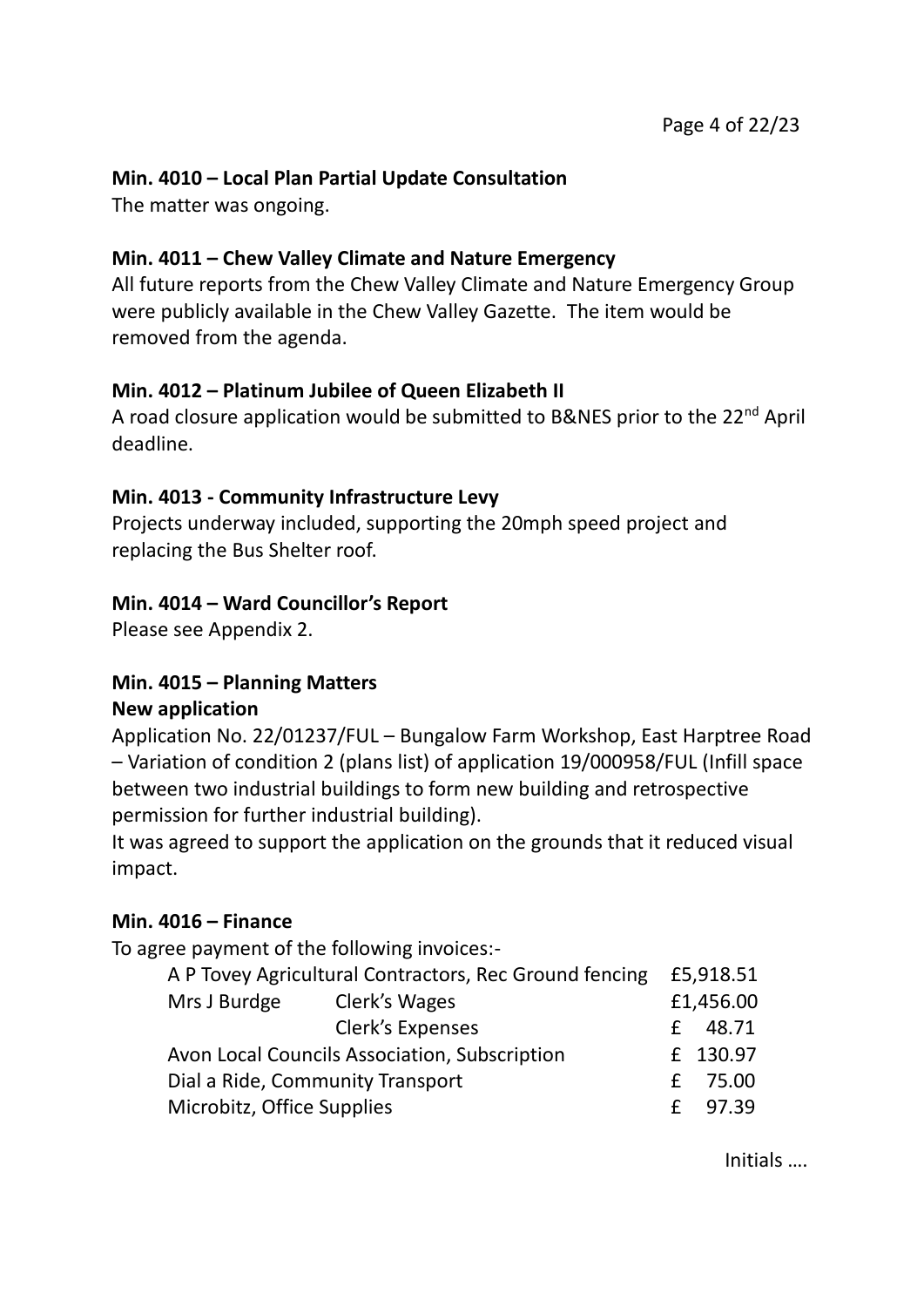## **Min. 4010 – Local Plan Partial Update Consultation**

The matter was ongoing.

## **Min. 4011 – Chew Valley Climate and Nature Emergency**

All future reports from the Chew Valley Climate and Nature Emergency Group were publicly available in the Chew Valley Gazette. The item would be removed from the agenda.

## **Min. 4012 – Platinum Jubilee of Queen Elizabeth II**

A road closure application would be submitted to B&NES prior to the 22<sup>nd</sup> April deadline.

## **Min. 4013 - Community Infrastructure Levy**

Projects underway included, supporting the 20mph speed project and replacing the Bus Shelter roof.

## **Min. 4014 – Ward Councillor's Report**

Please see Appendix 2.

### **Min. 4015 – Planning Matters New application**

Application No. 22/01237/FUL – Bungalow Farm Workshop, East Harptree Road – Variation of condition 2 (plans list) of application 19/000958/FUL (Infill space between two industrial buildings to form new building and retrospective permission for further industrial building).

It was agreed to support the application on the grounds that it reduced visual impact.

## **Min. 4016 – Finance**

To agree payment of the following invoices:-

| £5,918.51 |  |
|-----------|--|
| £1,456.00 |  |
| £ 48.71   |  |
| £ 130.97  |  |
| £ 75.00   |  |
| £ 97.39   |  |
|           |  |

Initials ….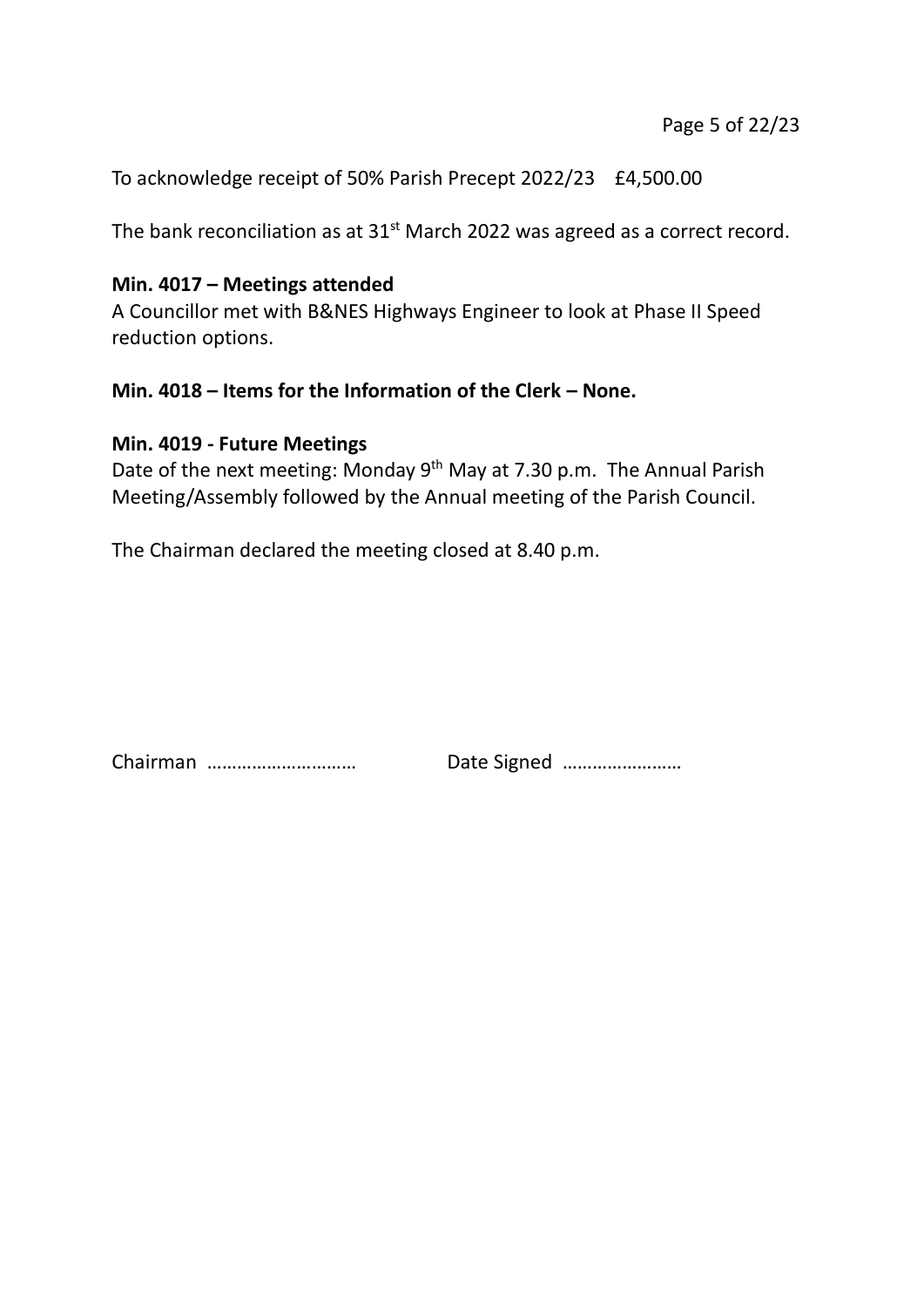To acknowledge receipt of 50% Parish Precept 2022/23 £4,500.00

The bank reconciliation as at  $31<sup>st</sup>$  March 2022 was agreed as a correct record.

### **Min. 4017 – Meetings attended**

A Councillor met with B&NES Highways Engineer to look at Phase II Speed reduction options.

### **Min. 4018 – Items for the Information of the Clerk – None.**

### **Min. 4019 - Future Meetings**

Date of the next meeting: Monday 9<sup>th</sup> May at 7.30 p.m. The Annual Parish Meeting/Assembly followed by the Annual meeting of the Parish Council.

The Chairman declared the meeting closed at 8.40 p.m.

Chairman ………………………… Date Signed ……………………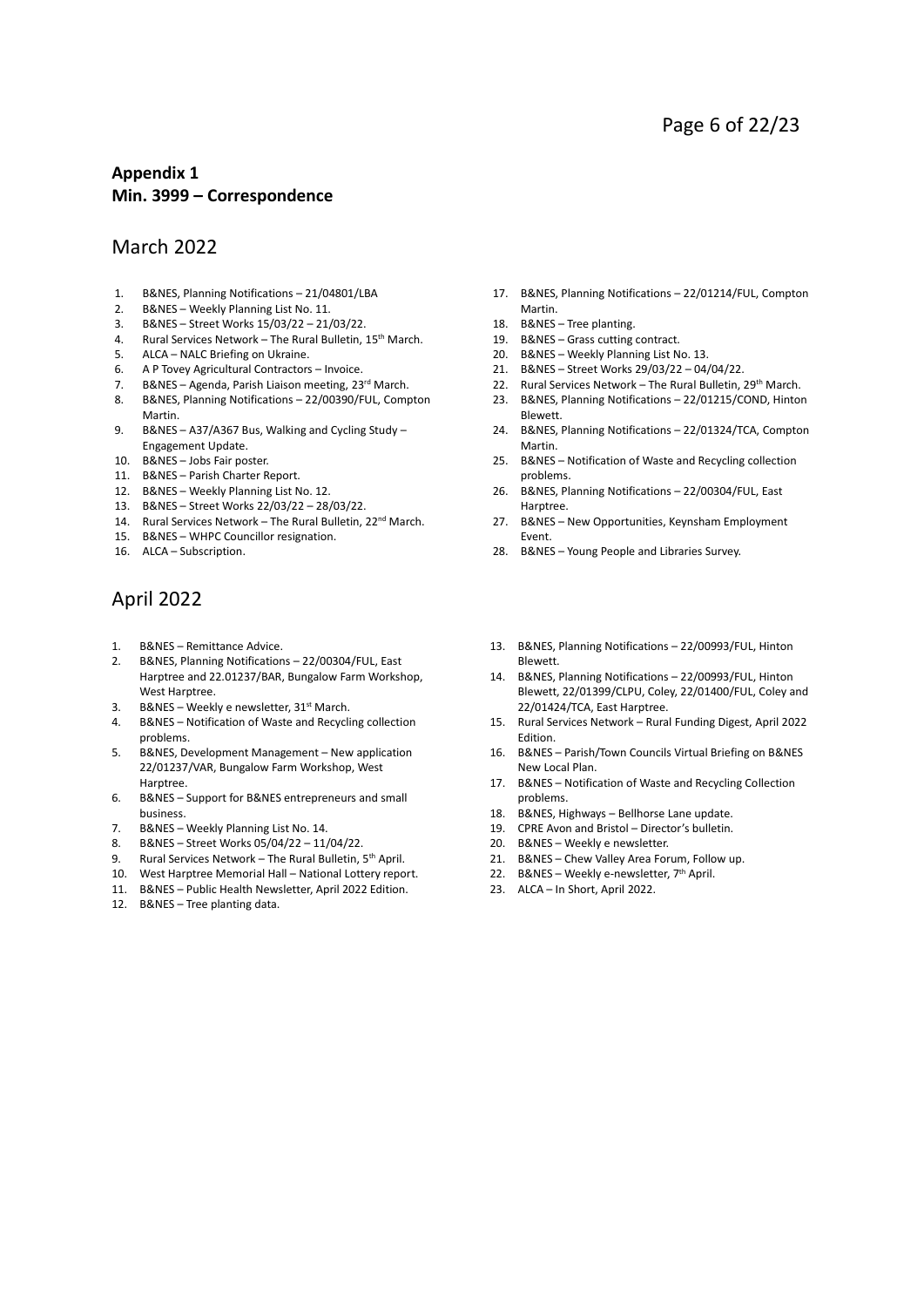#### **Appendix 1 Min. 3999 – Correspondence**

#### March 2022

- 1. B&NES, Planning Notifications 21/04801/LBA
- 2. B&NES Weekly Planning List No. 11.
- 3. B&NES Street Works 15/03/22 21/03/22.
- 4. Rural Services Network The Rural Bulletin, 15<sup>th</sup> March.
- 5. ALCA NALC Briefing on Ukraine.
- 6. A P Tovey Agricultural Contractors Invoice.
- 7. B&NES Agenda, Parish Liaison meeting, 23<sup>rd</sup> March.
- 8. B&NES, Planning Notifications 22/00390/FUL, Compton Martin.
- 9. B&NES A37/A367 Bus, Walking and Cycling Study Engagement Update.
- 10. B&NES Jobs Fair poster.
- 11. B&NES Parish Charter Report.
- 12. B&NES Weekly Planning List No. 12.
- 13. B&NES Street Works 22/03/22 28/03/22.
- 14. Rural Services Network The Rural Bulletin, 22<sup>nd</sup> March.
- 15. B&NES WHPC Councillor resignation.
- 16. ALCA Subscription.

#### April 2022

- 1. B&NES Remittance Advice.
- 2. B&NES, Planning Notifications 22/00304/FUL, East Harptree and 22.01237/BAR, Bungalow Farm Workshop, West Harptree.
- 3. B&NES Weekly e newsletter, 31<sup>st</sup> March.
- 4. B&NES Notification of Waste and Recycling collection problems.
- 5. B&NES, Development Management New application 22/01237/VAR, Bungalow Farm Workshop, West Harptree.
- 6. B&NES Support for B&NES entrepreneurs and small business.
- 7. B&NES Weekly Planning List No. 14.
- 8. B&NES Street Works 05/04/22 11/04/22.
- 9. Rural Services Network The Rural Bulletin, 5<sup>th</sup> April.
- 10. West Harptree Memorial Hall National Lottery report.
- 11. B&NES Public Health Newsletter, April 2022 Edition.
- 12. B&NES Tree planting data.
- 17. B&NES, Planning Notifications 22/01214/FUL, Compton Martin.
- 18. B&NES Tree planting.
- 19. B&NES Grass cutting contract.
- 20. B&NES Weekly Planning List No. 13.
- 21. B&NES Street Works 29/03/22 04/04/22.
- 22. Rural Services Network The Rural Bulletin, 29<sup>th</sup> March.
- 23. B&NES, Planning Notifications 22/01215/COND, Hinton
- Blewett. 24. B&NES, Planning Notifications – 22/01324/TCA, Compton Martin.
- 25. B&NES Notification of Waste and Recycling collection problems.
- 26. B&NES, Planning Notifications 22/00304/FUL, East Harptree.
- 27. B&NES New Opportunities, Keynsham Employment Event.
- 28. B&NES Young People and Libraries Survey.
- 13. B&NES, Planning Notifications 22/00993/FUL, Hinton Blewett.
- 14. B&NES, Planning Notifications 22/00993/FUL, Hinton Blewett, 22/01399/CLPU, Coley, 22/01400/FUL, Coley and 22/01424/TCA, East Harptree.
- 15. Rural Services Network Rural Funding Digest, April 2022 Edition.
- 16. B&NES Parish/Town Councils Virtual Briefing on B&NES New Local Plan.
- 17. B&NES Notification of Waste and Recycling Collection problems.
- 18. B&NES, Highways Bellhorse Lane update.
- 19. CPRE Avon and Bristol Director's bulletin.
- 20. B&NES Weekly e newsletter.
- 21. B&NES Chew Valley Area Forum, Follow up.
- 22. B&NES Weekly e-newsletter, 7<sup>th</sup> April.
- 23. ALCA In Short, April 2022.